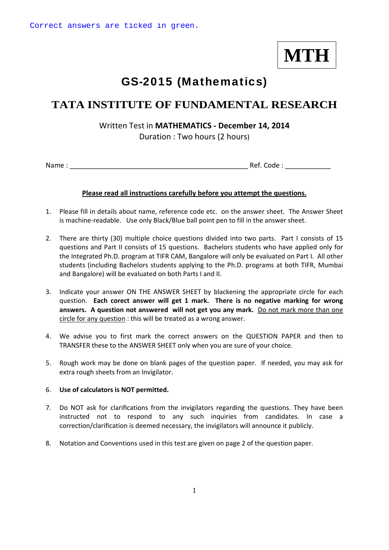**MTH**

## GS-2015 (Mathematics)

### **TATA INSTITUTE OF FUNDAMENTAL RESEARCH**

### Written Test in **MATHEMATICS ‐ December 14, 2014**

Duration : Two hours (2 hours)

Name : \_\_\_\_\_\_\_\_\_\_\_\_\_\_\_\_\_\_\_\_\_\_\_\_\_\_\_\_\_\_\_\_\_\_\_\_\_\_\_\_\_\_\_\_\_\_\_ Ref. Code : \_\_\_\_\_\_\_\_\_\_\_\_

#### **Please read all instructions carefully before you attempt the questions.**

- 1. Please fill in details about name, reference code etc. on the answer sheet. The Answer Sheet is machine-readable. Use only Black/Blue ball point pen to fill in the answer sheet.
- 2. There are thirty (30) multiple choice questions divided into two parts. Part I consists of 15 questions and Part II consists of 15 questions. Bachelors students who have applied only for the Integrated Ph.D. program at TIFR CAM, Bangalore will only be evaluated on Part I. All other students (including Bachelors students applying to the Ph.D. programs at both TIFR, Mumbai and Bangalore) will be evaluated on both Parts I and II.
- 3. Indicate your answer ON THE ANSWER SHEET by blackening the appropriate circle for each question. **Each corect answer will get 1 mark. There is no negative marking for wrong answers. A question not answered will not get you any mark.** Do not mark more than one circle for any question : this will be treated as a wrong answer.
- 4. We advise you to first mark the correct answers on the QUESTION PAPER and then to TRANSFER these to the ANSWER SHEET only when you are sure of your choice.
- 5. Rough work may be done on blank pages of the question paper. If needed, you may ask for extra rough sheets from an Invigilator.

#### 6. **Use of calculators is NOT permitted.**

- 7. Do NOT ask for clarifications from the invigilators regarding the questions. They have been instructed not to respond to any such inquiries from candidates. In case a correction/clarification is deemed necessary, the invigilators will announce it publicly.
- 8. Notation and Conventions used in this test are given on page 2 of the question paper.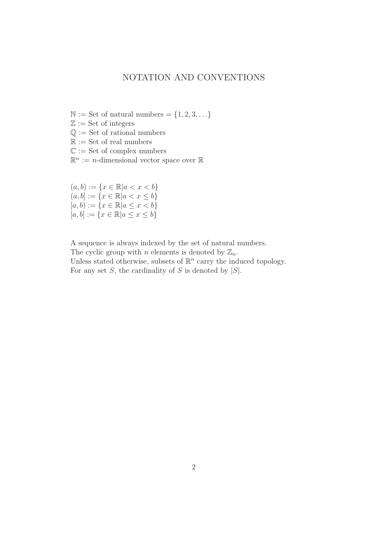### NOTATION AND CONVENTIONS

- $\mathbb{N} :=$  Set of natural numbers =  $\{1, 2, 3, \ldots\}$
- $\mathbb{Z} :=$  Set of integers
- $\mathbb{Q} :=$  Set of rational numbers
- $\mathbb{R} :=$  Set of real numbers
- $\mathbb{C} :=$  Set of complex numbers
- $\mathbb{R}^n := n$ -dimensional vector space over  $\mathbb{R}$

 $(a, b) := \{x \in \mathbb{R} | a < x < b\}$  $(a, b] := \{x \in \mathbb{R} | a < x \leq b\}$  $[a, b) := \{x \in \mathbb{R} | a \leq x < b\}$  $[a, b] := \{x \in \mathbb{R} | a \le x \le b\}$ 

A sequence is always indexed by the set of natural numbers.

The cyclic group with *n* elements is denoted by  $\mathbb{Z}_n$ . Unless stated otherwise, subsets of  $\mathbb{R}^n$  carry the induced topology. For any set  $S$ , the cardinality of  $S$  is denoted by  $|S|$ .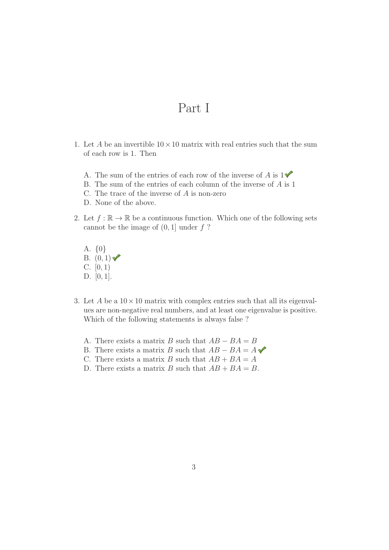## Part I

- 1. Let A be an invertible  $10 \times 10$  matrix with real entries such that the sum of each row is 1. Then
	- A. The sum of the entries of each row of the inverse of A is  $1\blacklozenge$
	- B. The sum of the entries of each column of the inverse of A is 1
	- C. The trace of the inverse of A is non-zero
	- D. None of the above.
- 2. Let  $f : \mathbb{R} \to \mathbb{R}$  be a continuous function. Which one of the following sets cannot be the image of  $(0, 1]$  under  $f$  ?
	- A. {0} B.  $(0, 1)$ C.  $[0, 1)$ D. [0, 1].
- 3. Let A be a  $10 \times 10$  matrix with complex entries such that all its eigenvalues are non-negative real numbers, and at least one eigenvalue is positive. Which of the following statements is always false ?
	- A. There exists a matrix B such that  $AB BA = B$
	- B. There exists a matrix B such that  $AB BA = A \blacktriangleleft$
	- C. There exists a matrix B such that  $AB + BA = A$
	- D. There exists a matrix B such that  $AB + BA = B$ .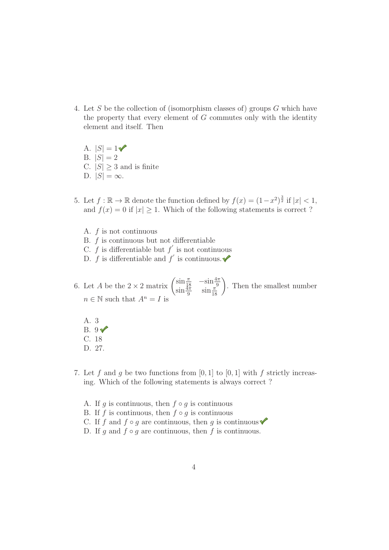- 4. Let S be the collection of (isomorphism classes of) groups G which have the property that every element of  $G$  commutes only with the identity element and itself. Then
	- A.  $|S| = 1$ B.  $|S| = 2$ C.  $|S| \geq 3$  and is finite D.  $|S| = \infty$ .
- 5. Let  $f : \mathbb{R} \to \mathbb{R}$  denote the function defined by  $f(x) = (1-x^2)^{\frac{3}{2}}$  if  $|x| < 1$ , and  $f(x) = 0$  if  $|x| \ge 1$ . Which of the following statements is correct?
	- A. f is not continuous
	- B. f is continuous but not differentiable
	- C.  $f$  is differentiable but  $f'$  is not continuous
	- D.  $f$  is differentiable and  $f'$  is continuous.
- 6. Let *A* be the  $2 \times 2$  matrix  $\begin{pmatrix} \sin{\frac{\pi}{18}} & -\sin{\frac{4\pi}{9}} \\ \sin{\frac{4\pi}{9}} & \sin{\frac{\pi}{18}} \end{pmatrix}$ . Then the smallest number  $n \in \mathbb{N}$  such that  $A^n = I$  is
	- A. 3  $B. 9V$ C. 18
	- D. 27.
- 7. Let f and q be two functions from  $[0, 1]$  to  $[0, 1]$  with f strictly increasing. Which of the following statements is always correct ?
	- A. If q is continuous, then  $f \circ q$  is continuous
	- B. If f is continuous, then  $f \circ g$  is continuous
	- C. If f and  $f \circ g$  are continuous, then g is continuous  $\checkmark$
	- D. If g and  $f \circ g$  are continuous, then f is continuous.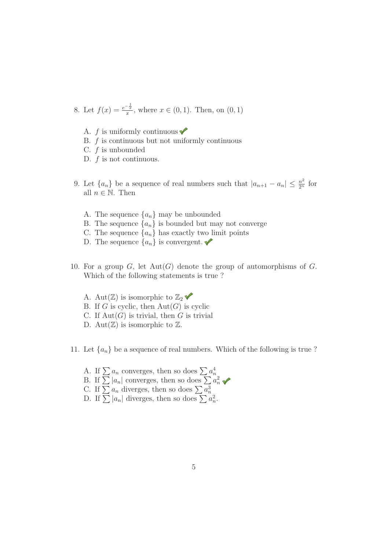8. Let 
$$
f(x) = \frac{e^{-\frac{1}{x}}}{x}
$$
, where  $x \in (0, 1)$ . Then, on  $(0, 1)$ 

- A.  $f$  is uniformly continuous  $\blacklozenge$
- B. f is continuous but not uniformly continuous
- C.  $f$  is unbounded
- D.  $f$  is not continuous.
- 9. Let  $\{a_n\}$  be a sequence of real numbers such that  $|a_{n+1} a_n| \leq \frac{n^2}{2^n}$  for all  $n \in \mathbb{N}$ . Then
	- A. The sequence  $\{a_n\}$  may be unbounded
	- B. The sequence  $\{a_n\}$  is bounded but may not converge
	- C. The sequence  $\{a_n\}$  has exactly two limit points
	- D. The sequence  $\{a_n\}$  is convergent.
- 10. For a group  $G$ , let  $Aut(G)$  denote the group of automorphisms of  $G$ . Which of the following statements is true ?
	- A. Aut $(\mathbb{Z})$  is isomorphic to  $\mathbb{Z}_2$   $\blacklozenge$
	- B. If G is cyclic, then  $Aut(G)$  is cyclic
	- C. If  $\text{Aut}(G)$  is trivial, then G is trivial
	- D. Aut $(\mathbb{Z})$  is isomorphic to  $\mathbb{Z}$ .
- 11. Let  $\{a_n\}$  be a sequence of real numbers. Which of the following is true ?
	- A. If  $\sum a_n$  converges, then so does  $\sum a_n^4$
	- B. If  $\sum |a_n|$  converges, then so does  $\sum a_n^2$
	- C. If  $\sum a_n$  diverges, then so does  $\sum a_n^3$
	- D. If  $\sum |a_n|$  diverges, then so does  $\sum a_n^2$ .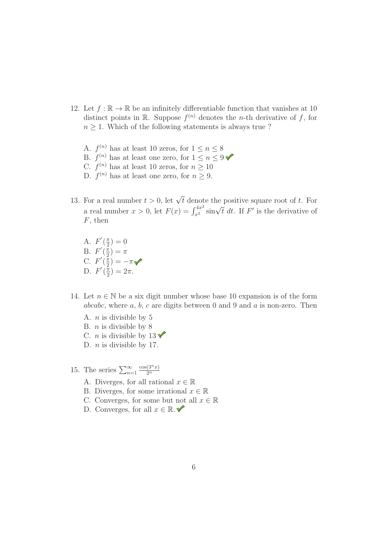- 12. Let  $f : \mathbb{R} \to \mathbb{R}$  be an infinitely differentiable function that vanishes at 10 distinct points in R. Suppose  $f^{(n)}$  denotes the *n*-th derivative of f, for  $n \geq 1$ . Which of the following statements is always true ?
	- A.  $f^{(n)}$  has at least 10 zeros, for  $1 \leq n \leq 8$
	- B.  $f^{(n)}$  has at least one zero, for  $1 \le n \le 9$
	- C.  $f^{(n)}$  has at least 10 zeros, for  $n \geq 10$
	- D.  $f^{(n)}$  has at least one zero, for  $n \geq 9$ .
- 13. For a real number  $t > 0$ , let  $\sqrt{t}$  denote the positive square root of t. For a real number  $x > 0$ , let  $F(x) = \int_{x^2}^{4x^2} \sin \sqrt{t} dt$ . If  $F'$  is the derivative of  $F$ , then
	- A.  $F'(\frac{\pi}{2}) = 0$ B.  $F'(\frac{\pi}{2}) = \pi$ C.  $F'(\frac{\pi}{2}) = -\pi$ D.  $F'(\frac{\pi}{2}) = 2\pi$ .
- 14. Let  $n \in \mathbb{N}$  be a six digit number whose base 10 expansion is of the form abcabc, where  $a, b, c$  are digits between 0 and 9 and  $a$  is non-zero. Then
	- A. n is divisible by 5
	- B.  $n$  is divisible by 8
	- C. *n* is divisible by  $13 \checkmark$
	- D.  $n$  is divisible by 17.
- 15. The series  $\sum_{n=1}^{\infty}$  $cos(3^n x)$  $2^n$ 
	- A. Diverges, for all rational  $x \in \mathbb{R}$
	- B. Diverges, for some irrational  $x \in \mathbb{R}$
	- C. Converges, for some but not all  $x \in \mathbb{R}$
	- D. Converges, for all  $x \in \mathbb{R}$ .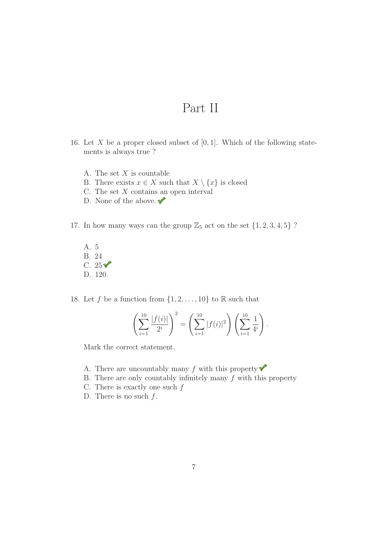# Part II

- 16. Let X be a proper closed subset of  $[0, 1]$ . Which of the following statements is always true ?
	- A. The set  $X$  is countable
	- B. There exists  $x \in X$  such that  $X \setminus \{x\}$  is closed
	- C. The set  $X$  contains an open interval
	- D. None of the above.  $\checkmark$
- 17. In how many ways can the group  $\mathbb{Z}_5$  act on the set  $\{1, 2, 3, 4, 5\}$ ?
	- A. 5 B. 24 C.  $25\sqrt{ }$ D. 120.
- 18. Let f be a function from  $\{1, 2, \ldots, 10\}$  to R such that

$$
\left(\sum_{i=1}^{10} \frac{|f(i)|}{2^i}\right)^2 = \left(\sum_{i=1}^{10} |f(i)|^2\right) \left(\sum_{i=1}^{10} \frac{1}{4^i}\right).
$$

Mark the correct statement.

- A. There are uncountably many f with this property  $\blacklozenge$
- B. There are only countably infinitely many  $f$  with this property
- C. There is exactly one such  $f$
- D. There is no such  $f$ .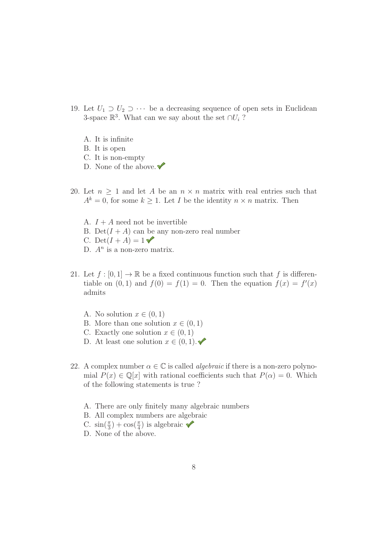- 19. Let  $U_1 \supset U_2 \supset \cdots$  be a decreasing sequence of open sets in Euclidean 3-space  $\mathbb{R}^3$ . What can we say about the set ∩ $U_i$ ?
	- A. It is infinite
	- B. It is open
	- C. It is non-empty
	- D. None of the above.  $\blacklozenge$
- 20. Let  $n \geq 1$  and let A be an  $n \times n$  matrix with real entries such that  $A^k = 0$ , for some  $k \geq 1$ . Let I be the identity  $n \times n$  matrix. Then
	- A.  $I + A$  need not be invertible B. Det( $I + A$ ) can be any non-zero real number C. Det( $I + A$ ) = 1 D.  $A<sup>n</sup>$  is a non-zero matrix.
- 21. Let  $f : [0,1] \to \mathbb{R}$  be a fixed continuous function such that f is differentiable on  $(0, 1)$  and  $f(0) = f(1) = 0$ . Then the equation  $f(x) = f'(x)$ admits
	- A. No solution  $x \in (0,1)$
	- B. More than one solution  $x \in (0,1)$
	- C. Exactly one solution  $x \in (0,1)$
	- D. At least one solution  $x \in (0,1)$ .
- 22. A complex number  $\alpha \in \mathbb{C}$  is called *algebraic* if there is a non-zero polynomial  $P(x) \in \mathbb{Q}[x]$  with rational coefficients such that  $P(\alpha) = 0$ . Which of the following statements is true ?
	- A. There are only finitely many algebraic numbers
	- B. All complex numbers are algebraic
	- C.  $\sin(\frac{\pi}{3}) + \cos(\frac{\pi}{4})$  is algebraic
	- D. None of the above.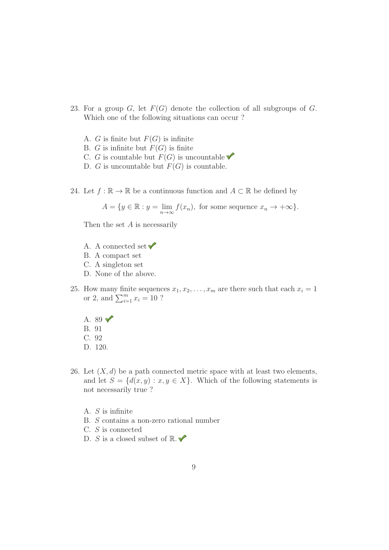- 23. For a group  $G$ , let  $F(G)$  denote the collection of all subgroups of  $G$ . Which one of the following situations can occur ?
	- A. G is finite but  $F(G)$  is infinite
	- B. G is infinite but  $F(G)$  is finite
	- C. G is countable but  $F(G)$  is uncountable
	- D. G is uncountable but  $F(G)$  is countable.
- 24. Let  $f : \mathbb{R} \to \mathbb{R}$  be a continuous function and  $A \subset \mathbb{R}$  be defined by

$$
A = \{ y \in \mathbb{R} : y = \lim_{n \to \infty} f(x_n), \text{ for some sequence } x_n \to +\infty \}.
$$

Then the set  $A$  is necessarily

- A. A connected set  $\blacktriangledown$
- B. A compact set
- C. A singleton set
- D. None of the above.
- 25. How many finite sequences  $x_1, x_2, \ldots, x_m$  are there such that each  $x_i = 1$ or 2, and  $\sum_{i=1}^{m} x_i = 10$  ?
	- A. 89 $\sqrt{ }$
	- B. 91
	- C. 92
	- D. 120.
- 26. Let  $(X, d)$  be a path connected metric space with at least two elements, and let  $S = \{d(x, y) : x, y \in X\}$ . Which of the following statements is not necessarily true ?
	- A. S is infinite
	- B. S contains a non-zero rational number
	- C. S is connected
	- D. S is a closed subset of  $\mathbb{R}$ .